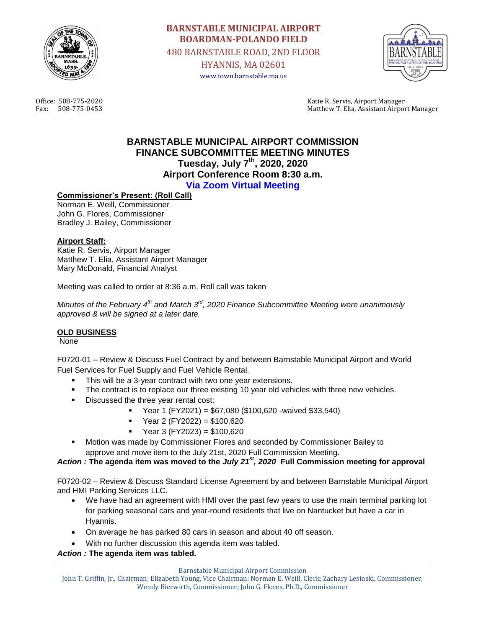

# **BARNSTABLE MUNICIPAL AIRPORT BOARDMAN-POLANDO FIELD** 480 BARNSTABLE ROAD, 2ND FLOOR HYANNIS, MA 02601 www.town.barnstable.ma.us



Office: 508-775-2020 Katie R. Servis, Airport Manager Fax: 508-775-0453 Matthew T. Elia, Assistant Airport Manager

# **BARNSTABLE MUNICIPAL AIRPORT COMMISSION FINANCE SUBCOMMITTEE MEETING MINUTES Tuesday, July 7th, 2020, 2020 Airport Conference Room 8:30 a.m. Via Zoom Virtual Meeting**

## **Commissioner's Present: (Roll Call)**

Norman E. Weill, Commissioner John G. Flores, Commissioner Bradley J. Bailey, Commissioner

#### **Airport Staff:**

Katie R. Servis, Airport Manager Matthew T. Elia, Assistant Airport Manager Mary McDonald, Financial Analyst

Meeting was called to order at 8:36 a.m. Roll call was taken

*Minutes of the February 4th and March 3rd, 2020 Finance Subcommittee Meeting were unanimously approved & will be signed at a later date.*

#### **OLD BUSINESS**

None

F0720-01 – Review & Discuss Fuel Contract by and between Barnstable Municipal Airport and World Fuel Services for Fuel Supply and Fuel Vehicle Rental*.*

- This will be a 3-year contract with two one year extensions.
- The contract is to replace our three existing 10 year old vehicles with three new vehicles.
- Discussed the three year rental cost:
	- Year 1 (FY2021) = \$67,080 (\$100,620 -waived \$33,540)
	- Year 2 (FY2022) = \$100,620
	- $Year 3 (FY2023) = $100,620$
- Motion was made by Commissioner Flores and seconded by Commissioner Bailey to approve and move item to the July 21st, 2020 Full Commission Meeting.

#### *Action :* **The agenda item was moved to the** *July 21st, 2020* **Full Commission meeting for approval**

F0720-02 – Review & Discuss Standard License Agreement by and between Barnstable Municipal Airport and HMI Parking Services LLC.

- We have had an agreement with HMI over the past few years to use the main terminal parking lot for parking seasonal cars and year-round residents that live on Nantucket but have a car in Hyannis.
- On average he has parked 80 cars in season and about 40 off season.
- With no further discussion this agenda item was tabled.

*Action :* **The agenda item was tabled.**

John T. Griffin, Jr., Chairman; Elizabeth Young, Vice Chairman; Norman E. Weill, Clerk; Zachary Lesinski, Commissioner; Wendy Bierwirth, Commissioner; John G. Flores, Ph.D., Commissioner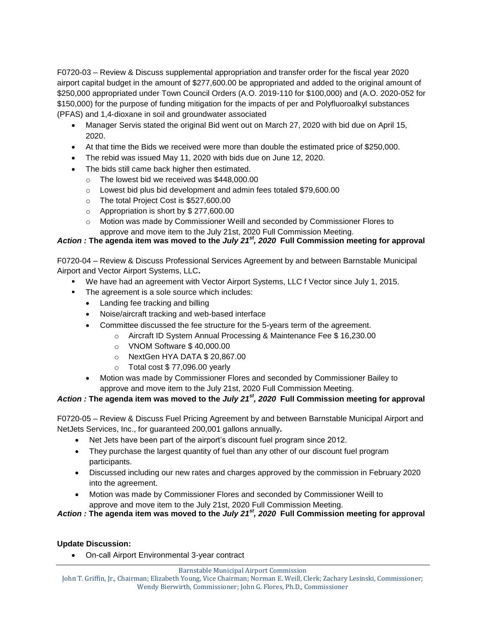F0720-03 – Review & Discuss supplemental appropriation and transfer order for the fiscal year 2020 airport capital budget in the amount of \$277,600.00 be appropriated and added to the original amount of \$250,000 appropriated under Town Council Orders (A.O. 2019-110 for \$100,000) and (A.O. 2020-052 for \$150,000) for the purpose of funding mitigation for the impacts of per and Polyfluoroalkyl substances (PFAS) and 1,4‐dioxane in soil and groundwater associated

- Manager Servis stated the original Bid went out on March 27, 2020 with bid due on April 15, 2020.
- At that time the Bids we received were more than double the estimated price of \$250,000.
- The rebid was issued May 11, 2020 with bids due on June 12, 2020.
- The bids still came back higher then estimated.
	- o The lowest bid we received was \$448,000.00
	- o Lowest bid plus bid development and admin fees totaled \$79,600.00
	- o The total Project Cost is \$527,600.00
	- o Appropriation is short by \$ 277,600.00
	- o Motion was made by Commissioner Weill and seconded by Commissioner Flores to approve and move item to the July 21st, 2020 Full Commission Meeting.

# *Action :* **The agenda item was moved to the** *July 21st, 2020* **Full Commission meeting for approval**

F0720-04 – Review & Discuss Professional Services Agreement by and between Barnstable Municipal Airport and Vector Airport Systems, LLC**.**

- We have had an agreement with Vector Airport Systems, LLC f Vector since July 1, 2015.
- **The agreement is a sole source which includes:** 
	- Landing fee tracking and billing
	- Noise/aircraft tracking and web-based interface
	- Committee discussed the fee structure for the 5-years term of the agreement.
		- o Aircraft ID System Annual Processing & Maintenance Fee \$ 16,230.00
			- o VNOM Software \$ 40,000.00
			- o NextGen HYA DATA \$ 20,867.00
			- $\circ$  Total cost \$77,096.00 yearly
	- Motion was made by Commissioner Flores and seconded by Commissioner Bailey to approve and move item to the July 21st, 2020 Full Commission Meeting.

## *Action :* **The agenda item was moved to the** *July 21st, 2020* **Full Commission meeting for approval**

F0720-05 – Review & Discuss Fuel Pricing Agreement by and between Barnstable Municipal Airport and NetJets Services, Inc., for guaranteed 200,001 gallons annually**.**

- Net Jets have been part of the airport's discount fuel program since 2012.
- They purchase the largest quantity of fuel than any other of our discount fuel program participants.
- Discussed including our new rates and charges approved by the commission in February 2020 into the agreement.
- Motion was made by Commissioner Flores and seconded by Commissioner Weill to approve and move item to the July 21st, 2020 Full Commission Meeting.

*Action :* **The agenda item was moved to the** *July 21st, 2020* **Full Commission meeting for approval**

#### **Update Discussion:**

On-call Airport Environmental 3-year contract

Barnstable Municipal Airport Commission

John T. Griffin, Jr., Chairman; Elizabeth Young, Vice Chairman; Norman E. Weill, Clerk; Zachary Lesinski, Commissioner; Wendy Bierwirth, Commissioner; John G. Flores, Ph.D., Commissioner